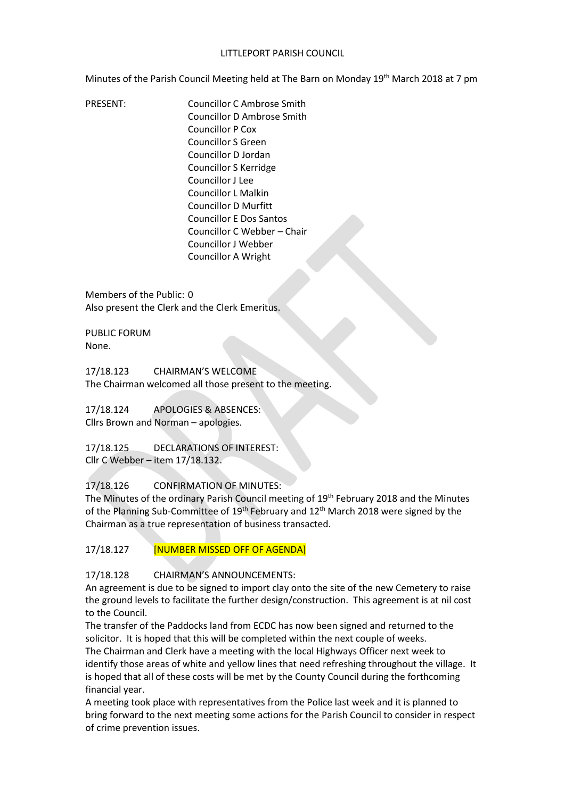Minutes of the Parish Council Meeting held at The Barn on Monday 19<sup>th</sup> March 2018 at 7 pm

PRESENT: Councillor C Ambrose Smith Councillor D Ambrose Smith Councillor P Cox Councillor S Green Councillor D Jordan Councillor S Kerridge Councillor J Lee Councillor L Malkin Councillor D Murfitt Councillor E Dos Santos Councillor C Webber – Chair Councillor J Webber Councillor A Wright

Members of the Public: 0 Also present the Clerk and the Clerk Emeritus.

PUBLIC FORUM None.

17/18.123 CHAIRMAN'S WELCOME The Chairman welcomed all those present to the meeting.

17/18.124 APOLOGIES & ABSENCES: Cllrs Brown and Norman – apologies.

17/18.125 DECLARATIONS OF INTEREST: Cllr C Webber – item 17/18.132.

17/18.126 CONFIRMATION OF MINUTES:

The Minutes of the ordinary Parish Council meeting of 19<sup>th</sup> February 2018 and the Minutes of the Planning Sub-Committee of 19<sup>th</sup> February and 12<sup>th</sup> March 2018 were signed by the Chairman as a true representation of business transacted.

17/18.127 [NUMBER MISSED OFF OF AGENDA]

### 17/18.128 CHAIRMAN'S ANNOUNCEMENTS:

An agreement is due to be signed to import clay onto the site of the new Cemetery to raise the ground levels to facilitate the further design/construction. This agreement is at nil cost to the Council.

The transfer of the Paddocks land from ECDC has now been signed and returned to the solicitor. It is hoped that this will be completed within the next couple of weeks. The Chairman and Clerk have a meeting with the local Highways Officer next week to identify those areas of white and yellow lines that need refreshing throughout the village. It is hoped that all of these costs will be met by the County Council during the forthcoming financial year.

A meeting took place with representatives from the Police last week and it is planned to bring forward to the next meeting some actions for the Parish Council to consider in respect of crime prevention issues.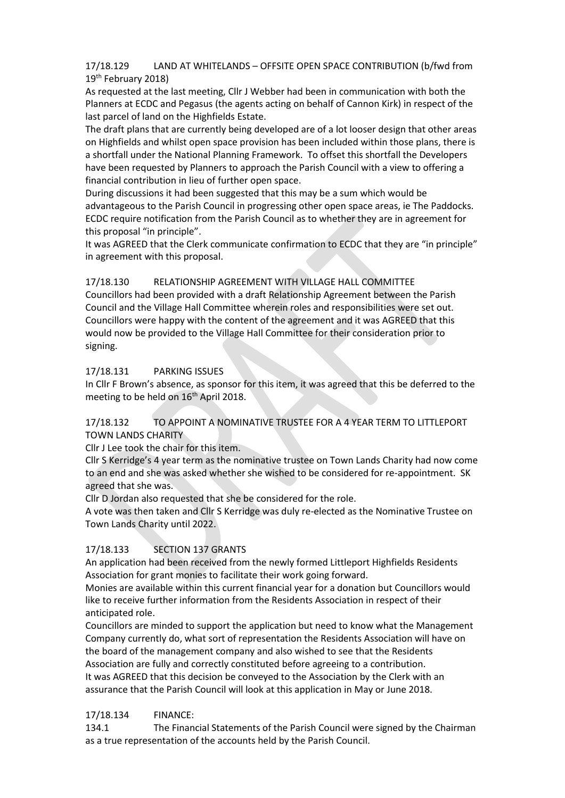### 17/18.129 LAND AT WHITELANDS – OFFSITE OPEN SPACE CONTRIBUTION (b/fwd from 19th February 2018)

As requested at the last meeting, Cllr J Webber had been in communication with both the Planners at ECDC and Pegasus (the agents acting on behalf of Cannon Kirk) in respect of the last parcel of land on the Highfields Estate.

The draft plans that are currently being developed are of a lot looser design that other areas on Highfields and whilst open space provision has been included within those plans, there is a shortfall under the National Planning Framework. To offset this shortfall the Developers have been requested by Planners to approach the Parish Council with a view to offering a financial contribution in lieu of further open space.

During discussions it had been suggested that this may be a sum which would be advantageous to the Parish Council in progressing other open space areas, ie The Paddocks. ECDC require notification from the Parish Council as to whether they are in agreement for this proposal "in principle".

It was AGREED that the Clerk communicate confirmation to ECDC that they are "in principle" in agreement with this proposal.

## 17/18.130 RELATIONSHIP AGREEMENT WITH VILLAGE HALL COMMITTEE

Councillors had been provided with a draft Relationship Agreement between the Parish Council and the Village Hall Committee wherein roles and responsibilities were set out. Councillors were happy with the content of the agreement and it was AGREED that this would now be provided to the Village Hall Committee for their consideration prior to signing.

### 17/18.131 PARKING ISSUES

In Cllr F Brown's absence, as sponsor for this item, it was agreed that this be deferred to the meeting to be held on 16<sup>th</sup> April 2018.

## 17/18.132 TO APPOINT A NOMINATIVE TRUSTEE FOR A 4 YEAR TERM TO LITTLEPORT TOWN LANDS CHARITY

Cllr J Lee took the chair for this item.

Cllr S Kerridge's 4 year term as the nominative trustee on Town Lands Charity had now come to an end and she was asked whether she wished to be considered for re-appointment. SK agreed that she was.

Cllr D Jordan also requested that she be considered for the role.

A vote was then taken and Cllr S Kerridge was duly re-elected as the Nominative Trustee on Town Lands Charity until 2022.

# 17/18.133 SECTION 137 GRANTS

An application had been received from the newly formed Littleport Highfields Residents Association for grant monies to facilitate their work going forward.

Monies are available within this current financial year for a donation but Councillors would like to receive further information from the Residents Association in respect of their anticipated role.

Councillors are minded to support the application but need to know what the Management Company currently do, what sort of representation the Residents Association will have on the board of the management company and also wished to see that the Residents Association are fully and correctly constituted before agreeing to a contribution. It was AGREED that this decision be conveyed to the Association by the Clerk with an assurance that the Parish Council will look at this application in May or June 2018.

### 17/18.134 FINANCE:

134.1 The Financial Statements of the Parish Council were signed by the Chairman as a true representation of the accounts held by the Parish Council.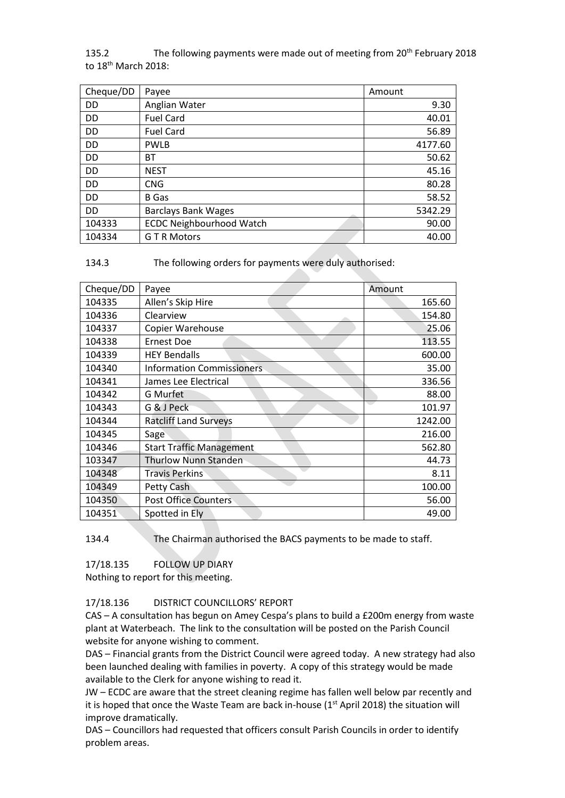#### 135.2 The following payments were made out of meeting from 20<sup>th</sup> February 2018 to 18<sup>th</sup> March 2018:

| Cheque/DD | Payee                           | Amount  |
|-----------|---------------------------------|---------|
| DD        | Anglian Water                   | 9.30    |
| DD        | <b>Fuel Card</b>                | 40.01   |
| DD        | <b>Fuel Card</b>                | 56.89   |
| DD        | <b>PWLB</b>                     | 4177.60 |
| DD        | BT                              | 50.62   |
| DD        | <b>NEST</b>                     | 45.16   |
| DD        | <b>CNG</b>                      | 80.28   |
| DD        | <b>B</b> Gas                    | 58.52   |
| DD        | <b>Barclays Bank Wages</b>      | 5342.29 |
| 104333    | <b>ECDC Neighbourhood Watch</b> | 90.00   |
| 104334    | <b>GTRMotors</b>                | 40.00   |

134.3 The following orders for payments were duly authorised:

| Cheque/DD | Payee                            | Amount        |
|-----------|----------------------------------|---------------|
| 104335    | Allen's Skip Hire                | 165.60        |
| 104336    | Clearview                        | 154.80        |
| 104337    | <b>Copier Warehouse</b>          | 25.06         |
| 104338    | <b>Ernest Doe</b>                | 113.55        |
| 104339    | <b>HEY Bendalls</b>              | 600.00        |
| 104340    | <b>Information Commissioners</b> | 35.00         |
| 104341    | James Lee Electrical             | 336.56        |
| 104342    | <b>G</b> Murfet                  | 88.00         |
| 104343    | G & J Peck                       | e s<br>101.97 |
| 104344    | <b>Ratcliff Land Surveys</b>     | 1242.00       |
| 104345    | Sage                             | 216.00        |
| 104346    | <b>Start Traffic Management</b>  | 562.80        |
| 103347    | <b>Thurlow Nunn Standen</b>      | 44.73         |
| 104348    | <b>Travis Perkins</b>            | 8.11          |
| 104349    | Petty Cash                       | 100.00        |
| 104350    | Post Office Counters             | 56.00         |
| 104351    | Spotted in Ely                   | 49.00         |

134.4 The Chairman authorised the BACS payments to be made to staff.

# 17/18.135 FOLLOW UP DIARY

Nothing to report for this meeting.

# 17/18.136 DISTRICT COUNCILLORS' REPORT

CAS – A consultation has begun on Amey Cespa's plans to build a £200m energy from waste plant at Waterbeach. The link to the consultation will be posted on the Parish Council website for anyone wishing to comment.

DAS – Financial grants from the District Council were agreed today. A new strategy had also been launched dealing with families in poverty. A copy of this strategy would be made available to the Clerk for anyone wishing to read it.

JW – ECDC are aware that the street cleaning regime has fallen well below par recently and it is hoped that once the Waste Team are back in-house (1<sup>st</sup> April 2018) the situation will improve dramatically.

DAS – Councillors had requested that officers consult Parish Councils in order to identify problem areas.